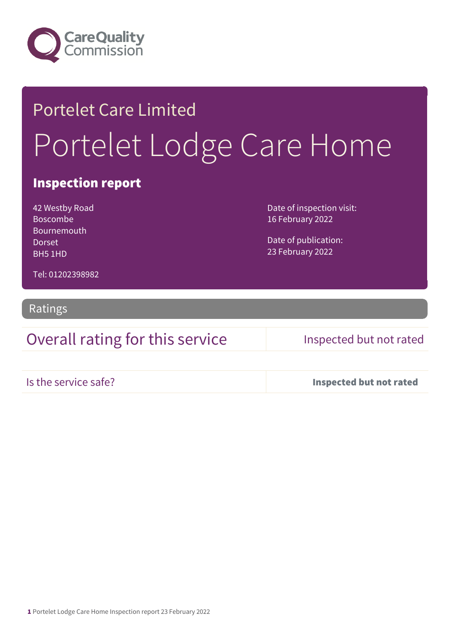

# Portelet Care Limited Portelet Lodge Care Home

### Inspection report

42 Westby Road Boscombe Bournemouth Dorset BH5 1HD

Date of inspection visit: 16 February 2022

Date of publication: 23 February 2022

Tel: 01202398982

Ratings

### Overall rating for this service Inspected but not rated

Is the service safe? Inspected but not rated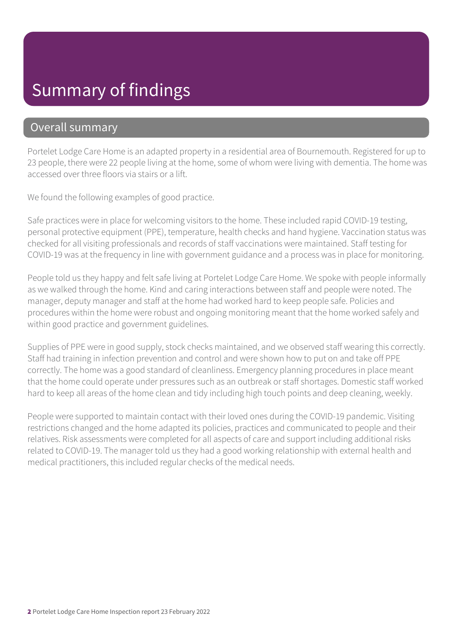## Summary of findings

### Overall summary

Portelet Lodge Care Home is an adapted property in a residential area of Bournemouth. Registered for up to 23 people, there were 22 people living at the home, some of whom were living with dementia. The home was accessed over three floors via stairs or a lift.

We found the following examples of good practice.

Safe practices were in place for welcoming visitors to the home. These included rapid COVID-19 testing, personal protective equipment (PPE), temperature, health checks and hand hygiene. Vaccination status was checked for all visiting professionals and records of staff vaccinations were maintained. Staff testing for COVID-19 was at the frequency in line with government guidance and a process was in place for monitoring.

People told us they happy and felt safe living at Portelet Lodge Care Home. We spoke with people informally as we walked through the home. Kind and caring interactions between staff and people were noted. The manager, deputy manager and staff at the home had worked hard to keep people safe. Policies and procedures within the home were robust and ongoing monitoring meant that the home worked safely and within good practice and government guidelines.

Supplies of PPE were in good supply, stock checks maintained, and we observed staff wearing this correctly. Staff had training in infection prevention and control and were shown how to put on and take off PPE correctly. The home was a good standard of cleanliness. Emergency planning procedures in place meant that the home could operate under pressures such as an outbreak or staff shortages. Domestic staff worked hard to keep all areas of the home clean and tidy including high touch points and deep cleaning, weekly.

People were supported to maintain contact with their loved ones during the COVID-19 pandemic. Visiting restrictions changed and the home adapted its policies, practices and communicated to people and their relatives. Risk assessments were completed for all aspects of care and support including additional risks related to COVID-19. The manager told us they had a good working relationship with external health and medical practitioners, this included regular checks of the medical needs.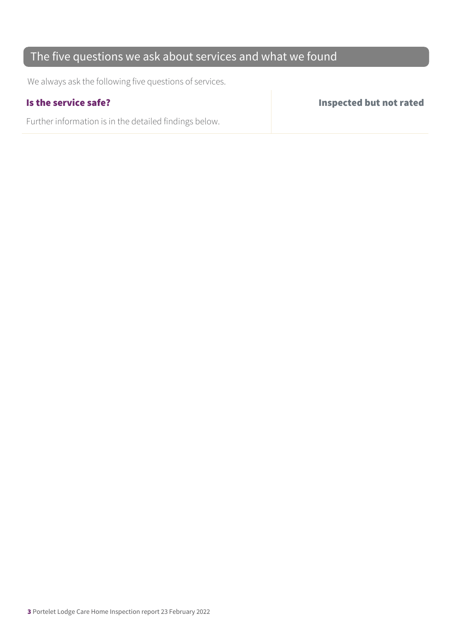### The five questions we ask about services and what we found

We always ask the following five questions of services.

Further information is in the detailed findings below.

Is the service safe? Inspected but not rated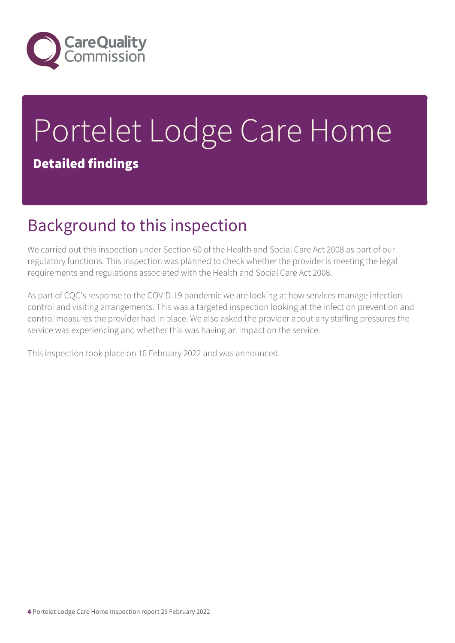

# Portelet Lodge Care Home Detailed findings

## Background to this inspection

We carried out this inspection under Section 60 of the Health and Social Care Act 2008 as part of our regulatory functions. This inspection was planned to check whether the provider is meeting the legal requirements and regulations associated with the Health and Social Care Act 2008.

As part of CQC's response to the COVID-19 pandemic we are looking at how services manage infection control and visiting arrangements. This was a targeted inspection looking at the infection prevention and control measures the provider had in place. We also asked the provider about any staffing pressures the service was experiencing and whether this was having an impact on the service.

This inspection took place on 16 February 2022 and was announced.